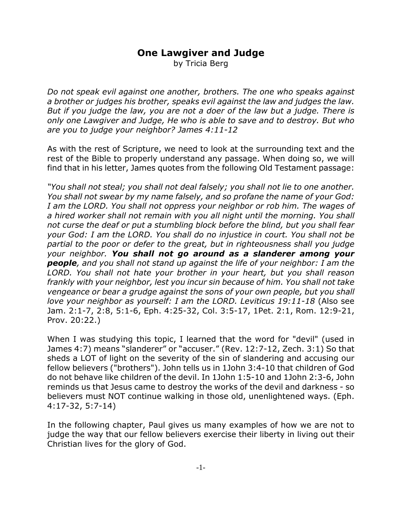## **One Lawgiver and Judge**

by Tricia Berg

*Do not speak evil against one another, brothers. The one who speaks against a brother or judges his brother, speaks evil against the law and judges the law. But if you judge the law, you are not a doer of the law but a judge. There is only one Lawgiver and Judge, He who is able to save and to destroy. But who are you to judge your neighbor? James 4:11-12*

As with the rest of Scripture, we need to look at the surrounding text and the rest of the Bible to properly understand any passage. When doing so, we will find that in his letter, James quotes from the following Old Testament passage:

*"You shall not steal; you shall not deal falsely; you shall not lie to one another. You shall not swear by my name falsely, and so profane the name of your God: I am the LORD. You shall not oppress your neighbor or rob him. The wages of a hired worker shall not remain with you all night until the morning. You shall not curse the deaf or put a stumbling block before the blind, but you shall fear your God: I am the LORD. You shall do no injustice in court. You shall not be partial to the poor or defer to the great, but in righteousness shall you judge your neighbor. You shall not go around as a slanderer among your people, and you shall not stand up against the life of your neighbor: I am the LORD. You shall not hate your brother in your heart, but you shall reason frankly with your neighbor, lest you incur sin because of him. You shall not take vengeance or bear a grudge against the sons of your own people, but you shall love your neighbor as yourself: I am the LORD. Leviticus 19:11-18* (Also see Jam. 2:1-7, 2:8, 5:1-6, Eph. 4:25-32, Col. 3:5-17, 1Pet. 2:1, Rom. 12:9-21, Prov. 20:22.)

When I was studying this topic, I learned that the word for "devil" (used in James 4:7) means "slanderer" or "accuser." (Rev. 12:7-12, Zech. 3:1) So that sheds a LOT of light on the severity of the sin of slandering and accusing our fellow believers ("brothers"). John tells us in 1John 3:4-10 that children of God do not behave like children of the devil. In 1John 1:5-10 and 1John 2:3-6, John reminds us that Jesus came to destroy the works of the devil and darkness - so believers must NOT continue walking in those old, unenlightened ways. (Eph. 4:17-32, 5:7-14)

In the following chapter, Paul gives us many examples of how we are not to judge the way that our fellow believers exercise their liberty in living out their Christian lives for the glory of God.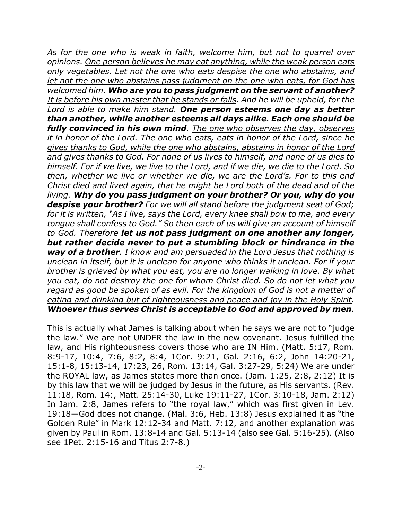*As for the one who is weak in faith, welcome him, but not to quarrel over opinions. One person believes he may eat anything, while the weak person eats only vegetables. Let not the one who eats despise the one who abstains, and let not the one who abstains pass judgment on the one who eats, for God has welcomed him. Who are you to pass judgment on the servant of another? It is before his own master that he stands or falls. And he will be upheld, for the Lord is able to make him stand. One person esteems one day as better than another, while another esteems all days alike. Each one should be fully convinced in his own mind. The one who observes the day, observes it in honor of the Lord. The one who eats, eats in honor of the Lord, since he gives thanks to God, while the one who abstains, abstains in honor of the Lord and gives thanks to God. For none of us lives to himself, and none of us dies to himself. For if we live, we live to the Lord, and if we die, we die to the Lord. So then, whether we live or whether we die, we are the Lord's. For to this end Christ died and lived again, that he might be Lord both of the dead and of the living. Why do you pass judgment on your brother? Or you, why do you despise your brother? For we will all stand before the judgment seat of God; for it is written, "As I live, says the Lord, every knee shall bow to me, and every tongue shall confess to God." So then each of us will give an account of himself to God. Therefore let us not pass judgment on one another any longer, but rather decide never to put a stumbling block or hindrance in the way of a brother. I know and am persuaded in the Lord Jesus that nothing is unclean in itself, but it is unclean for anyone who thinks it unclean. For if your brother is grieved by what you eat, you are no longer walking in love. By what you eat, do not destroy the one for whom Christ died. So do not let what you regard as good be spoken of as evil. For the kingdom of God is not a matter of eating and drinking but of righteousness and peace and joy in the Holy Spirit. Whoever thus serves Christ is acceptable to God and approved by men.*

This is actually what James is talking about when he says we are not to "judge the law." We are not UNDER the law in the new covenant. Jesus fulfilled the law, and His righteousness covers those who are IN Him. (Matt. 5:17, Rom. 8:9-17, 10:4, 7:6, 8:2, 8:4, 1Cor. 9:21, Gal. 2:16, 6:2, John 14:20-21, 15:1-8, 15:13-14, 17:23, 26, Rom. 13:14, Gal. 3:27-29, 5:24) We are under the ROYAL law, as James states more than once. (Jam. 1:25, 2:8, 2:12) It is by this law that we will be judged by Jesus in the future, as His servants. (Rev. 11:18, Rom. 14:, Matt. 25:14-30, Luke 19:11-27, 1Cor. 3:10-18, Jam. 2:12) In Jam. 2:8, James refers to "the royal law," which was first given in Lev. 19:18—God does not change. (Mal. 3:6, Heb. 13:8) Jesus explained it as "the Golden Rule" in Mark 12:12-34 and Matt. 7:12, and another explanation was given by Paul in Rom. 13:8-14 and Gal. 5:13-14 (also see Gal. 5:16-25). (Also see 1Pet. 2:15-16 and Titus 2:7-8.)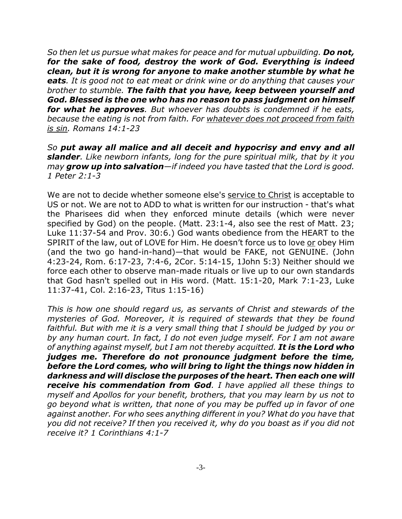*So then let us pursue what makes for peace and for mutual upbuilding. Do not, for the sake of food, destroy the work of God. Everything is indeed clean, but it is wrong for anyone to make another stumble by what he eats. It is good not to eat meat or drink wine or do anything that causes your brother to stumble. The faith that you have, keep between yourself and God. Blessed is the one who has no reason to pass judgment on himself for what he approves. But whoever has doubts is condemned if he eats, because the eating is not from faith. For whatever does not proceed from faith is sin. Romans 14:1-23* 

*So put away all malice and all deceit and hypocrisy and envy and all slander. Like newborn infants, long for the pure spiritual milk, that by it you may grow up into salvation—if indeed you have tasted that the Lord is good. 1 Peter 2:1-3*

We are not to decide whether someone else's service to Christ is acceptable to US or not. We are not to ADD to what is written for our instruction - that's what the Pharisees did when they enforced minute details (which were never specified by God) on the people. (Matt. 23:1-4, also see the rest of Matt. 23; Luke 11:37-54 and Prov. 30:6.) God wants obedience from the HEART to the SPIRIT of the law, out of LOVE for Him. He doesn't force us to love or obey Him (and the two go hand-in-hand)—that would be FAKE, not GENUINE. (John 4:23-24, Rom. 6:17-23, 7:4-6, 2Cor. 5:14-15, 1John 5:3) Neither should we force each other to observe man-made rituals or live up to our own standards that God hasn't spelled out in His word. (Matt. 15:1-20, Mark 7:1-23, Luke 11:37-41, Col. 2:16-23, Titus 1:15-16)

*This is how one should regard us, as servants of Christ and stewards of the mysteries of God. Moreover, it is required of stewards that they be found faithful. But with me it is a very small thing that I should be judged by you or by any human court. In fact, I do not even judge myself. For I am not aware of anything against myself, but I am not thereby acquitted. It is the Lord who judges me. Therefore do not pronounce judgment before the time, before the Lord comes, who will bring to light the things now hidden in darkness and will disclose the purposes of the heart. Then each one will receive his commendation from God. I have applied all these things to myself and Apollos for your benefit, brothers, that you may learn by us not to go beyond what is written, that none of you may be puffed up in favor of one against another. For who sees anything different in you? What do you have that you did not receive? If then you received it, why do you boast as if you did not receive it? 1 Corinthians 4:1-7*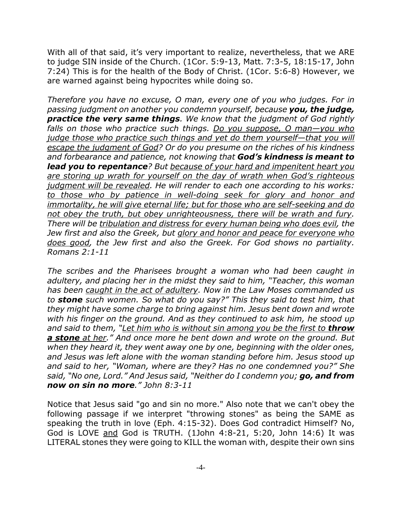With all of that said, it's very important to realize, nevertheless, that we ARE to judge SIN inside of the Church. (1Cor. 5:9-13, Matt. 7:3-5, 18:15-17, John 7:24) This is for the health of the Body of Christ. (1Cor. 5:6-8) However, we are warned against being hypocrites while doing so.

*Therefore you have no excuse, O man, every one of you who judges. For in passing judgment on another you condemn yourself, because you, the judge, practice the very same things. We know that the judgment of God rightly falls on those who practice such things. Do you suppose, O man—you who judge those who practice such things and yet do them yourself—that you will escape the judgment of God? Or do you presume on the riches of his kindness and forbearance and patience, not knowing that God's kindness is meant to lead you to repentance? But because of your hard and impenitent heart you are storing up wrath for yourself on the day of wrath when God's righteous judgment will be revealed. He will render to each one according to his works: to those who by patience in well-doing seek for glory and honor and immortality, he will give eternal life; but for those who are self-seeking and do not obey the truth, but obey unrighteousness, there will be wrath and fury. There will be tribulation and distress for every human being who does evil, the Jew first and also the Greek, but glory and honor and peace for everyone who does good, the Jew first and also the Greek. For God shows no partiality. Romans 2:1-11*

*The scribes and the Pharisees brought a woman who had been caught in adultery, and placing her in the midst they said to him, "Teacher, this woman has been caught in the act of adultery. Now in the Law Moses commanded us to stone such women. So what do you say?" This they said to test him, that they might have some charge to bring against him. Jesus bent down and wrote with his finger on the ground. And as they continued to ask him, he stood up* and said to them, "Let him who is without sin among you be the first to **throw** *a stone at her." And once more he bent down and wrote on the ground. But when they heard it, they went away one by one, beginning with the older ones, and Jesus was left alone with the woman standing before him. Jesus stood up and said to her, "Woman, where are they? Has no one condemned you?" She said, "No one, Lord." And Jesus said, "Neither do I condemn you; go, and from now on sin no more." John 8:3-11*

Notice that Jesus said "go and sin no more." Also note that we can't obey the following passage if we interpret "throwing stones" as being the SAME as speaking the truth in love (Eph. 4:15-32). Does God contradict Himself? No, God is LOVE and God is TRUTH. (1John 4:8-21, 5:20, John 14:6) It was LITERAL stones they were going to KILL the woman with, despite their own sins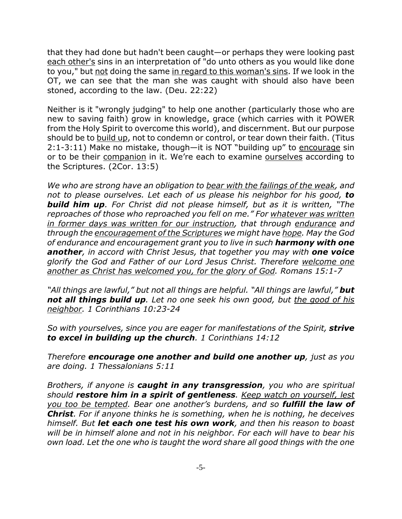that they had done but hadn't been caught—or perhaps they were looking past each other's sins in an interpretation of "do unto others as you would like done to you," but not doing the same in regard to this woman's sins. If we look in the OT, we can see that the man she was caught with should also have been stoned, according to the law. (Deu. 22:22)

Neither is it "wrongly judging" to help one another (particularly those who are new to saving faith) grow in knowledge, grace (which carries with it POWER from the Holy Spirit to overcome this world), and discernment. But our purpose should be to build up, not to condemn or control, or tear down their faith. (Titus 2:1-3:11) Make no mistake, though—it is NOT "building up" to encourage sin or to be their companion in it. We're each to examine ourselves according to the Scriptures. (2Cor. 13:5)

*We who are strong have an obligation to bear with the failings of the weak, and not to please ourselves. Let each of us please his neighbor for his good, to build him up. For Christ did not please himself, but as it is written, "The reproaches of those who reproached you fell on me." For whatever was written in former days was written for our instruction, that through endurance and through the encouragement of the Scriptures we might have hope. May the God of endurance and encouragement grant you to live in such harmony with one another, in accord with Christ Jesus, that together you may with one voice glorify the God and Father of our Lord Jesus Christ. Therefore welcome one another as Christ has welcomed you, for the glory of God. Romans 15:1-7*

*"All things are lawful," but not all things are helpful. "All things are lawful," but not all things build up. Let no one seek his own good, but the good of his neighbor. 1 Corinthians 10:23-24*

*So with yourselves, since you are eager for manifestations of the Spirit, strive to excel in building up the church. 1 Corinthians 14:12*

*Therefore encourage one another and build one another up, just as you are doing. 1 Thessalonians 5:11*

*Brothers, if anyone is caught in any transgression, you who are spiritual should restore him in a spirit of gentleness. Keep watch on yourself, lest you too be tempted. Bear one another's burdens, and so fulfill the law of Christ. For if anyone thinks he is something, when he is nothing, he deceives himself. But let each one test his own work, and then his reason to boast will be in himself alone and not in his neighbor. For each will have to bear his own load. Let the one who is taught the word share all good things with the one*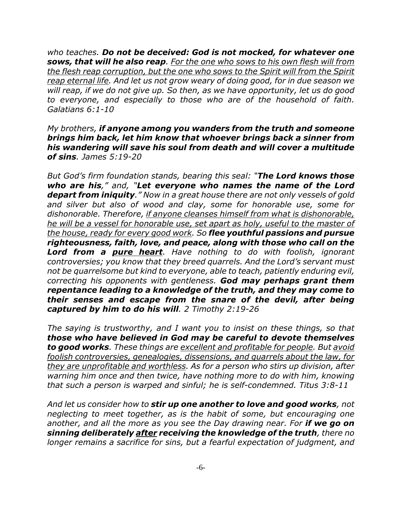*who teaches. Do not be deceived: God is not mocked, for whatever one sows, that will he also reap. For the one who sows to his own flesh will from the flesh reap corruption, but the one who sows to the Spirit will from the Spirit reap eternal life. And let us not grow weary of doing good, for in due season we will reap, if we do not give up. So then, as we have opportunity, let us do good to everyone, and especially to those who are of the household of faith. Galatians 6:1-10*

*My brothers, if anyone among you wanders from the truth and someone brings him back, let him know that whoever brings back a sinner from his wandering will save his soul from death and will cover a multitude of sins. James 5:19-20*

*But God's firm foundation stands, bearing this seal: "The Lord knows those who are his," and, "Let everyone who names the name of the Lord depart from iniquity." Now in a great house there are not only vessels of gold and silver but also of wood and clay, some for honorable use, some for dishonorable. Therefore, if anyone cleanses himself from what is dishonorable, he will be a vessel for honorable use, set apart as holy, useful to the master of the house, ready for every good work. So flee youthful passions and pursue righteousness, faith, love, and peace, along with those who call on the Lord from a pure heart. Have nothing to do with foolish, ignorant controversies; you know that they breed quarrels. And the Lord's servant must not be quarrelsome but kind to everyone, able to teach, patiently enduring evil, correcting his opponents with gentleness. God may perhaps grant them repentance leading to a knowledge of the truth, and they may come to their senses and escape from the snare of the devil, after being captured by him to do his will. 2 Timothy 2:19-26*

*The saying is trustworthy, and I want you to insist on these things, so that those who have believed in God may be careful to devote themselves to good works. These things are excellent and profitable for people. But avoid foolish controversies, genealogies, dissensions, and quarrels about the law, for they are unprofitable and worthless. As for a person who stirs up division, after warning him once and then twice, have nothing more to do with him, knowing that such a person is warped and sinful; he is self-condemned. Titus 3:8-11*

*And let us consider how to stir up one another to love and good works, not neglecting to meet together, as is the habit of some, but encouraging one another, and all the more as you see the Day drawing near. For if we go on sinning deliberately after receiving the knowledge of the truth, there no longer remains a sacrifice for sins, but a fearful expectation of judgment, and*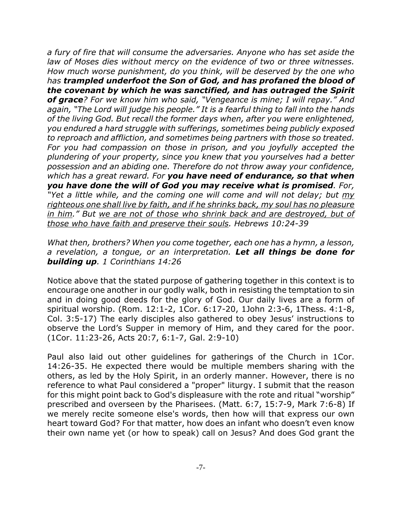*a fury of fire that will consume the adversaries. Anyone who has set aside the law of Moses dies without mercy on the evidence of two or three witnesses. How much worse punishment, do you think, will be deserved by the one who has trampled underfoot the Son of God, and has profaned the blood of the covenant by which he was sanctified, and has outraged the Spirit of grace? For we know him who said, "Vengeance is mine; I will repay." And again, "The Lord will judge his people." It is a fearful thing to fall into the hands of the living God. But recall the former days when, after you were enlightened, you endured a hard struggle with sufferings, sometimes being publicly exposed to reproach and affliction, and sometimes being partners with those so treated. For you had compassion on those in prison, and you joyfully accepted the plundering of your property, since you knew that you yourselves had a better possession and an abiding one. Therefore do not throw away your confidence, which has a great reward. For you have need of endurance, so that when you have done the will of God you may receive what is promised. For, "Yet a little while, and the coming one will come and will not delay; but my righteous one shall live by faith, and if he shrinks back, my soul has no pleasure in him." But we are not of those who shrink back and are destroyed, but of those who have faith and preserve their souls. Hebrews 10:24-39*

*What then, brothers? When you come together, each one has a hymn, a lesson, a revelation, a tongue, or an interpretation. Let all things be done for building up. 1 Corinthians 14:26*

Notice above that the stated purpose of gathering together in this context is to encourage one another in our godly walk, both in resisting the temptation to sin and in doing good deeds for the glory of God. Our daily lives are a form of spiritual worship. (Rom. 12:1-2, 1Cor. 6:17-20, 1John 2:3-6, 1Thess. 4:1-8, Col. 3:5-17) The early disciples also gathered to obey Jesus' instructions to observe the Lord's Supper in memory of Him, and they cared for the poor. (1Cor. 11:23-26, Acts 20:7, 6:1-7, Gal. 2:9-10)

Paul also laid out other guidelines for gatherings of the Church in 1Cor. 14:26-35. He expected there would be multiple members sharing with the others, as led by the Holy Spirit, in an orderly manner. However, there is no reference to what Paul considered a "proper" liturgy. I submit that the reason for this might point back to God's displeasure with the rote and ritual "worship" prescribed and overseen by the Pharisees. (Matt. 6:7, 15:7-9, Mark 7:6-8) If we merely recite someone else's words, then how will that express our own heart toward God? For that matter, how does an infant who doesn't even know their own name yet (or how to speak) call on Jesus? And does God grant the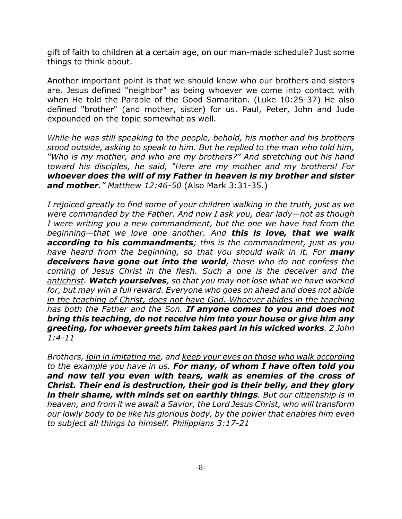gift of faith to children at a certain age, on our man-made schedule? Just some things to think about.

Another important point is that we should know who our brothers and sisters are. Jesus defined "neighbor" as being whoever we come into contact with when He told the Parable of the Good Samaritan. (Luke 10:25-37) He also defined "brother" (and mother, sister) for us. Paul, Peter, John and Jude expounded on the topic somewhat as well.

*While he was still speaking to the people, behold, his mother and his brothers stood outside, asking to speak to him. But he replied to the man who told him, "Who is my mother, and who are my brothers?" And stretching out his hand toward his disciples, he said, "Here are my mother and my brothers! For whoever does the will of my Father in heaven is my brother and sister and mother." Matthew 12:46-50* (Also Mark 3:31-35.)

*I rejoiced greatly to find some of your children walking in the truth, just as we were commanded by the Father. And now I ask you, dear lady—not as though I were writing you a new commandment, but the one we have had from the beginning—that we love one another. And this is love, that we walk according to his commandments; this is the commandment, just as you have heard from the beginning, so that you should walk in it. For many deceivers have gone out into the world, those who do not confess the coming of Jesus Christ in the flesh. Such a one is the deceiver and the antichrist. Watch yourselves, so that you may not lose what we have worked for, but may win a full reward. Everyone who goes on ahead and does not abide in the teaching of Christ, does not have God. Whoever abides in the teaching has both the Father and the Son. If anyone comes to you and does not bring this teaching, do not receive him into your house or give him any greeting, for whoever greets him takes part in his wicked works. 2 John 1:4-11*

*Brothers, join in imitating me, and keep your eyes on those who walk according to the example you have in us. For many, of whom I have often told you and now tell you even with tears, walk as enemies of the cross of Christ. Their end is destruction, their god is their belly, and they glory in their shame, with minds set on earthly things. But our citizenship is in heaven, and from it we await a Savior, the Lord Jesus Christ, who will transform our lowly body to be like his glorious body, by the power that enables him even to subject all things to himself. Philippians 3:17-21*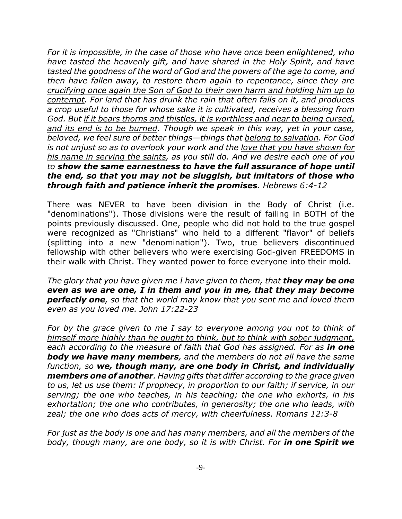*For it is impossible, in the case of those who have once been enlightened, who have tasted the heavenly gift, and have shared in the Holy Spirit, and have tasted the goodness of the word of God and the powers of the age to come, and then have fallen away, to restore them again to repentance, since they are crucifying once again the Son of God to their own harm and holding him up to contempt. For land that has drunk the rain that often falls on it, and produces a crop useful to those for whose sake it is cultivated, receives a blessing from God. But if it bears thorns and thistles, it is worthless and near to being cursed, and its end is to be burned. Though we speak in this way, yet in your case, beloved, we feel sure of better things—things that belong to salvation. For God is not unjust so as to overlook your work and the love that you have shown for his name in serving the saints, as you still do. And we desire each one of you to show the same earnestness to have the full assurance of hope until the end, so that you may not be sluggish, but imitators of those who through faith and patience inherit the promises. Hebrews 6:4-12*

There was NEVER to have been division in the Body of Christ (i.e. "denominations"). Those divisions were the result of failing in BOTH of the points previously discussed. One, people who did not hold to the true gospel were recognized as "Christians" who held to a different "flavor" of beliefs (splitting into a new "denomination"). Two, true believers discontinued fellowship with other believers who were exercising God-given FREEDOMS in their walk with Christ. They wanted power to force everyone into their mold.

*The glory that you have given me I have given to them, that they may be one even as we are one, I in them and you in me, that they may become perfectly one, so that the world may know that you sent me and loved them even as you loved me. John 17:22-23* 

*For by the grace given to me I say to everyone among you not to think of himself more highly than he ought to think, but to think with sober judgment, each according to the measure of faith that God has assigned. For as in one body we have many members, and the members do not all have the same function, so we, though many, are one body in Christ, and individually members one of another. Having gifts that differ according to the grace given to us, let us use them: if prophecy, in proportion to our faith; if service, in our serving; the one who teaches, in his teaching; the one who exhorts, in his exhortation; the one who contributes, in generosity; the one who leads, with zeal; the one who does acts of mercy, with cheerfulness. Romans 12:3-8*

*For just as the body is one and has many members, and all the members of the body, though many, are one body, so it is with Christ. For in one Spirit we*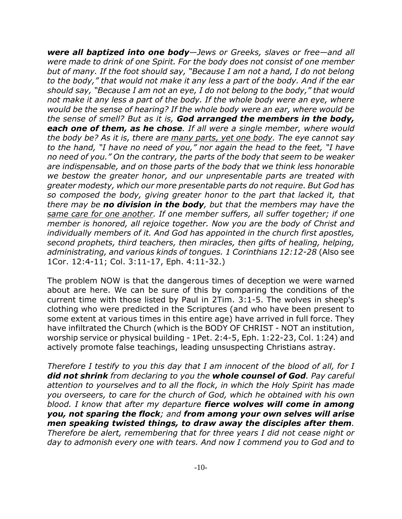*were all baptized into one body—Jews or Greeks, slaves or free—and all were made to drink of one Spirit. For the body does not consist of one member but of many. If the foot should say, "Because I am not a hand, I do not belong to the body," that would not make it any less a part of the body. And if the ear should say, "Because I am not an eye, I do not belong to the body," that would not make it any less a part of the body. If the whole body were an eye, where would be the sense of hearing? If the whole body were an ear, where would be the sense of smell? But as it is, God arranged the members in the body, each one of them, as he chose. If all were a single member, where would the body be? As it is, there are many parts, yet one body. The eye cannot say to the hand, "I have no need of you," nor again the head to the feet, "I have no need of you." On the contrary, the parts of the body that seem to be weaker are indispensable, and on those parts of the body that we think less honorable we bestow the greater honor, and our unpresentable parts are treated with greater modesty, which our more presentable parts do not require. But God has so composed the body, giving greater honor to the part that lacked it, that there may be no division in the body, but that the members may have the same care for one another. If one member suffers, all suffer together; if one member is honored, all rejoice together. Now you are the body of Christ and individually members of it. And God has appointed in the church first apostles, second prophets, third teachers, then miracles, then gifts of healing, helping, administrating, and various kinds of tongues. 1 Corinthians 12:12-28* (Also see 1Cor. 12:4-11; Col. 3:11-17, Eph. 4:11-32.)

The problem NOW is that the dangerous times of deception we were warned about are here. We can be sure of this by comparing the conditions of the current time with those listed by Paul in 2Tim. 3:1-5. The wolves in sheep's clothing who were predicted in the Scriptures (and who have been present to some extent at various times in this entire age) have arrived in full force. They have infiltrated the Church (which is the BODY OF CHRIST - NOT an institution, worship service or physical building - 1Pet. 2:4-5, Eph. 1:22-23, Col. 1:24) and actively promote false teachings, leading unsuspecting Christians astray.

*Therefore I testify to you this day that I am innocent of the blood of all, for I did not shrink from declaring to you the whole counsel of God. Pay careful attention to yourselves and to all the flock, in which the Holy Spirit has made you overseers, to care for the church of God, which he obtained with his own blood. I know that after my departure fierce wolves will come in among you, not sparing the flock; and from among your own selves will arise men speaking twisted things, to draw away the disciples after them. Therefore be alert, remembering that for three years I did not cease night or day to admonish every one with tears. And now I commend you to God and to*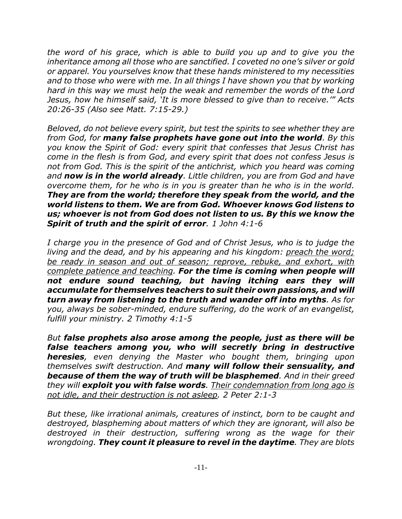*the word of his grace, which is able to build you up and to give you the inheritance among all those who are sanctified. I coveted no one's silver or gold or apparel. You yourselves know that these hands ministered to my necessities and to those who were with me. In all things I have shown you that by working hard in this way we must help the weak and remember the words of the Lord Jesus, how he himself said, 'It is more blessed to give than to receive.'" Acts 20:26-35 (Also see Matt. 7:15-29.)*

*Beloved, do not believe every spirit, but test the spirits to see whether they are from God, for many false prophets have gone out into the world. By this you know the Spirit of God: every spirit that confesses that Jesus Christ has come in the flesh is from God, and every spirit that does not confess Jesus is not from God. This is the spirit of the antichrist, which you heard was coming and now is in the world already. Little children, you are from God and have overcome them, for he who is in you is greater than he who is in the world. They are from the world; therefore they speak from the world, and the world listens to them. We are from God. Whoever knows God listens to us; whoever is not from God does not listen to us. By this we know the Spirit of truth and the spirit of error. 1 John 4:1-6*

*I charge you in the presence of God and of Christ Jesus, who is to judge the living and the dead, and by his appearing and his kingdom: preach the word; be ready in season and out of season; reprove, rebuke, and exhort, with complete patience and teaching. For the time is coming when people will not endure sound teaching, but having itching ears they will accumulate for themselves teachers to suit their own passions, and will turn away from listening to the truth and wander off into myths. As for you, always be sober-minded, endure suffering, do the work of an evangelist, fulfill your ministry. 2 Timothy 4:1-5*

*But false prophets also arose among the people, just as there will be false teachers among you, who will secretly bring in destructive heresies, even denying the Master who bought them, bringing upon themselves swift destruction. And many will follow their sensuality, and because of them the way of truth will be blasphemed. And in their greed they will exploit you with false words. Their condemnation from long ago is not idle, and their destruction is not asleep. 2 Peter 2:1-3*

*But these, like irrational animals, creatures of instinct, born to be caught and destroyed, blaspheming about matters of which they are ignorant, will also be destroyed in their destruction, suffering wrong as the wage for their wrongdoing. They count it pleasure to revel in the daytime. They are blots*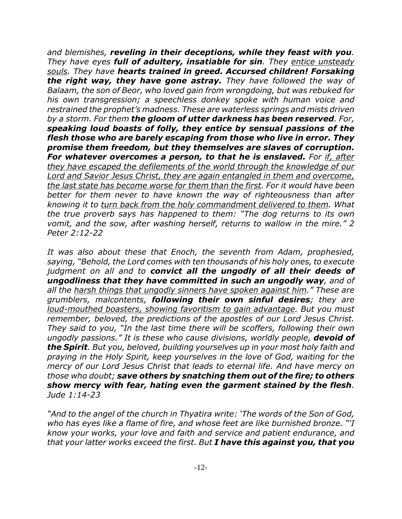*and blemishes, reveling in their deceptions, while they feast with you. They have eyes full of adultery, insatiable for sin. They entice unsteady souls. They have hearts trained in greed. Accursed children! Forsaking the right way, they have gone astray. They have followed the way of Balaam, the son of Beor, who loved gain from wrongdoing, but was rebuked for his own transgression; a speechless donkey spoke with human voice and restrained the prophet's madness. These are waterless springs and mists driven by a storm. For them the gloom of utter darkness has been reserved. For, speaking loud boasts of folly, they entice by sensual passions of the flesh those who are barely escaping from those who live in error. They promise them freedom, but they themselves are slaves of corruption. For whatever overcomes a person, to that he is enslaved. For if, after they have escaped the defilements of the world through the knowledge of our Lord and Savior Jesus Christ, they are again entangled in them and overcome, the last state has become worse for them than the first. For it would have been better for them never to have known the way of righteousness than after knowing it to turn back from the holy commandment delivered to them. What the true proverb says has happened to them: "The dog returns to its own vomit, and the sow, after washing herself, returns to wallow in the mire." 2 Peter 2:12-22*

*It was also about these that Enoch, the seventh from Adam, prophesied, saying, "Behold, the Lord comes with ten thousands of his holy ones, to execute judgment on all and to convict all the ungodly of all their deeds of ungodliness that they have committed in such an ungodly way, and of all the harsh things that ungodly sinners have spoken against him." These are grumblers, malcontents, following their own sinful desires; they are loud-mouthed boasters, showing favoritism to gain advantage. But you must remember, beloved, the predictions of the apostles of our Lord Jesus Christ. They said to you, "In the last time there will be scoffers, following their own ungodly passions." It is these who cause divisions, worldly people, devoid of the Spirit. But you, beloved, building yourselves up in your most holy faith and praying in the Holy Spirit, keep yourselves in the love of God, waiting for the mercy of our Lord Jesus Christ that leads to eternal life. And have mercy on those who doubt; save others by snatching them out of the fire; to others show mercy with fear, hating even the garment stained by the flesh. Jude 1:14-23*

*"And to the angel of the church in Thyatira write: 'The words of the Son of God, who has eyes like a flame of fire, and whose feet are like burnished bronze. "'I know your works, your love and faith and service and patient endurance, and that your latter works exceed the first. But I have this against you, that you*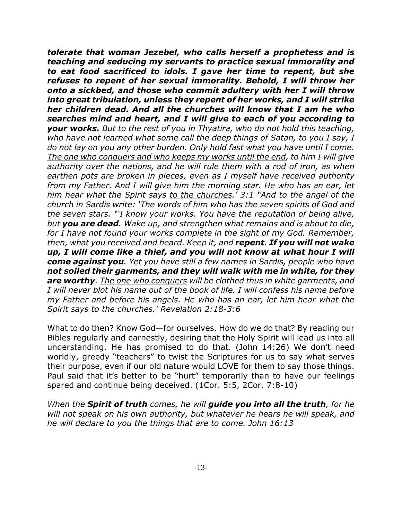*tolerate that woman Jezebel, who calls herself a prophetess and is teaching and seducing my servants to practice sexual immorality and to eat food sacrificed to idols. I gave her time to repent, but she refuses to repent of her sexual immorality. Behold, I will throw her onto a sickbed, and those who commit adultery with her I will throw into great tribulation, unless they repent of her works, and I will strike her children dead. And all the churches will know that I am he who searches mind and heart, and I will give to each of you according to your works. But to the rest of you in Thyatira, who do not hold this teaching, who have not learned what some call the deep things of Satan, to you I say, I do not lay on you any other burden. Only hold fast what you have until I come. The one who conquers and who keeps my works until the end, to him I will give authority over the nations, and he will rule them with a rod of iron, as when earthen pots are broken in pieces, even as I myself have received authority from my Father. And I will give him the morning star. He who has an ear, let him hear what the Spirit says to the churches.' 3:1 "And to the angel of the church in Sardis write: 'The words of him who has the seven spirits of God and the seven stars. "'I know your works. You have the reputation of being alive, but you are dead. Wake up, and strengthen what remains and is about to die, for I have not found your works complete in the sight of my God. Remember, then, what you received and heard. Keep it, and repent. If you will not wake up, I will come like a thief, and you will not know at what hour I will come against you. Yet you have still a few names in Sardis, people who have not soiled their garments, and they will walk with me in white, for they are worthy. The one who conquers will be clothed thus in white garments, and I will never blot his name out of the book of life. I will confess his name before my Father and before his angels. He who has an ear, let him hear what the Spirit says to the churches.' Revelation 2:18-3:6*

What to do then? Know God—for ourselves. How do we do that? By reading our Bibles regularly and earnestly, desiring that the Holy Spirit will lead us into all understanding. He has promised to do that. (John 14:26) We don't need worldly, greedy "teachers" to twist the Scriptures for us to say what serves their purpose, even if our old nature would LOVE for them to say those things. Paul said that it's better to be "hurt" temporarily than to have our feelings spared and continue being deceived. (1Cor. 5:5, 2Cor. 7:8-10)

*When the Spirit of truth comes, he will guide you into all the truth, for he will not speak on his own authority, but whatever he hears he will speak, and he will declare to you the things that are to come. John 16:13*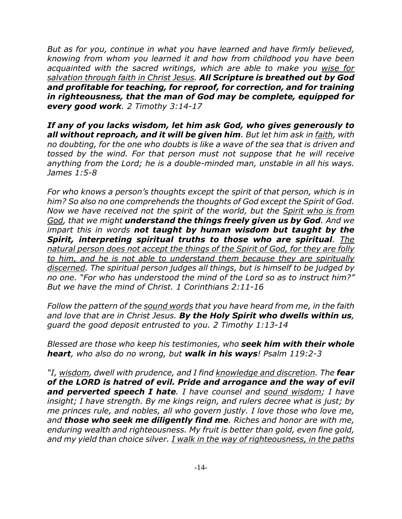*But as for you, continue in what you have learned and have firmly believed, knowing from whom you learned it and how from childhood you have been acquainted with the sacred writings, which are able to make you wise for salvation through faith in Christ Jesus. All Scripture is breathed out by God and profitable for teaching, for reproof, for correction, and for training in righteousness, that the man of God may be complete, equipped for every good work. 2 Timothy 3:14-17*

*If any of you lacks wisdom, let him ask God, who gives generously to all without reproach, and it will be given him. But let him ask in faith, with no doubting, for the one who doubts is like a wave of the sea that is driven and tossed by the wind. For that person must not suppose that he will receive anything from the Lord; he is a double-minded man, unstable in all his ways. James 1:5-8*

*For who knows a person's thoughts except the spirit of that person, which is in him? So also no one comprehends the thoughts of God except the Spirit of God. Now we have received not the spirit of the world, but the Spirit who is from God, that we might understand the things freely given us by God. And we impart this in words not taught by human wisdom but taught by the Spirit, interpreting spiritual truths to those who are spiritual. The natural person does not accept the things of the Spirit of God, for they are folly to him, and he is not able to understand them because they are spiritually discerned. The spiritual person judges all things, but is himself to be judged by no one. "For who has understood the mind of the Lord so as to instruct him?" But we have the mind of Christ. 1 Corinthians 2:11-16*

*Follow the pattern of the sound words that you have heard from me, in the faith and love that are in Christ Jesus. By the Holy Spirit who dwells within us, guard the good deposit entrusted to you. 2 Timothy 1:13-14*

*Blessed are those who keep his testimonies, who seek him with their whole heart, who also do no wrong, but walk in his ways! Psalm 119:2-3*

*"I, wisdom, dwell with prudence, and I find knowledge and discretion. The fear of the LORD is hatred of evil. Pride and arrogance and the way of evil and perverted speech I hate. I have counsel and sound wisdom; I have insight; I have strength. By me kings reign, and rulers decree what is just; by me princes rule, and nobles, all who govern justly. I love those who love me, and those who seek me diligently find me. Riches and honor are with me, enduring wealth and righteousness. My fruit is better than gold, even fine gold, and my yield than choice silver. I walk in the way of righteousness, in the paths*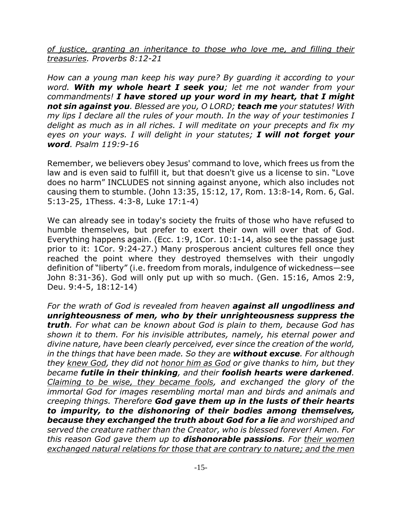*of justice, granting an inheritance to those who love me, and filling their treasuries. Proverbs 8:12-21*

*How can a young man keep his way pure? By guarding it according to your word. With my whole heart I seek you; let me not wander from your commandments! I have stored up your word in my heart, that I might not sin against you. Blessed are you, O LORD; teach me your statutes! With my lips I declare all the rules of your mouth. In the way of your testimonies I delight as much as in all riches. I will meditate on your precepts and fix my eyes on your ways. I will delight in your statutes; I will not forget your word. Psalm 119:9-16*

Remember, we believers obey Jesus' command to love, which frees us from the law and is even said to fulfill it, but that doesn't give us a license to sin. "Love does no harm" INCLUDES not sinning against anyone, which also includes not causing them to stumble. (John 13:35, 15:12, 17, Rom. 13:8-14, Rom. 6, Gal. 5:13-25, 1Thess. 4:3-8, Luke 17:1-4)

We can already see in today's society the fruits of those who have refused to humble themselves, but prefer to exert their own will over that of God. Everything happens again. (Ecc. 1:9, 1Cor. 10:1-14, also see the passage just prior to it: 1Cor. 9:24-27.) Many prosperous ancient cultures fell once they reached the point where they destroyed themselves with their ungodly definition of "liberty" (i.e. freedom from morals, indulgence of wickedness—see John 8:31-36). God will only put up with so much. (Gen. 15:16, Amos 2:9, Deu. 9:4-5, 18:12-14)

*For the wrath of God is revealed from heaven against all ungodliness and unrighteousness of men, who by their unrighteousness suppress the truth. For what can be known about God is plain to them, because God has shown it to them. For his invisible attributes, namely, his eternal power and divine nature, have been clearly perceived, ever since the creation of the world, in the things that have been made. So they are without excuse. For although they knew God, they did not honor him as God or give thanks to him, but they became futile in their thinking, and their foolish hearts were darkened. Claiming to be wise, they became fools, and exchanged the glory of the immortal God for images resembling mortal man and birds and animals and creeping things. Therefore God gave them up in the lusts of their hearts to impurity, to the dishonoring of their bodies among themselves, because they exchanged the truth about God for a lie and worshiped and served the creature rather than the Creator, who is blessed forever! Amen. For this reason God gave them up to dishonorable passions. For their women exchanged natural relations for those that are contrary to nature; and the men*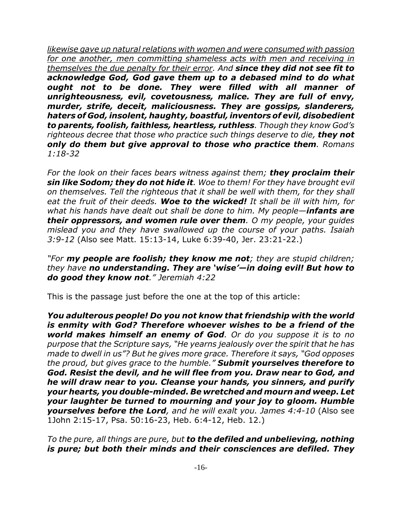*likewise gave up natural relations with women and were consumed with passion for one another, men committing shameless acts with men and receiving in themselves the due penalty for their error. And since they did not see fit to acknowledge God, God gave them up to a debased mind to do what ought not to be done. They were filled with all manner of unrighteousness, evil, covetousness, malice. They are full of envy, murder, strife, deceit, maliciousness. They are gossips, slanderers, haters of God, insolent, haughty, boastful, inventors of evil, disobedient to parents, foolish, faithless, heartless, ruthless. Though they know God's righteous decree that those who practice such things deserve to die, they not only do them but give approval to those who practice them. Romans 1:18-32*

*For the look on their faces bears witness against them; they proclaim their sin like Sodom; they do not hide it. Woe to them! For they have brought evil on themselves. Tell the righteous that it shall be well with them, for they shall eat the fruit of their deeds. Woe to the wicked! It shall be ill with him, for what his hands have dealt out shall be done to him. My people—infants are their oppressors, and women rule over them. O my people, your guides mislead you and they have swallowed up the course of your paths. Isaiah 3:9-12* (Also see Matt. 15:13-14, Luke 6:39-40, Jer. 23:21-22.)

*"For my people are foolish; they know me not; they are stupid children; they have no understanding. They are 'wise'—in doing evil! But how to do good they know not." Jeremiah 4:22*

This is the passage just before the one at the top of this article:

*You adulterous people! Do you not know that friendship with the world is enmity with God? Therefore whoever wishes to be a friend of the world makes himself an enemy of God. Or do you suppose it is to no purpose that the Scripture says, "He yearns jealously over the spirit that he has made to dwell in us"? But he gives more grace. Therefore it says, "God opposes the proud, but gives grace to the humble." Submit yourselves therefore to God. Resist the devil, and he will flee from you. Draw near to God, and he will draw near to you. Cleanse your hands, you sinners, and purify your hearts, you double-minded. Be wretched and mourn and weep. Let your laughter be turned to mourning and your joy to gloom. Humble yourselves before the Lord, and he will exalt you. James 4:4-10* (Also see 1John 2:15-17, Psa. 50:16-23, Heb. 6:4-12, Heb. 12.)

*To the pure, all things are pure, but to the defiled and unbelieving, nothing is pure; but both their minds and their consciences are defiled. They*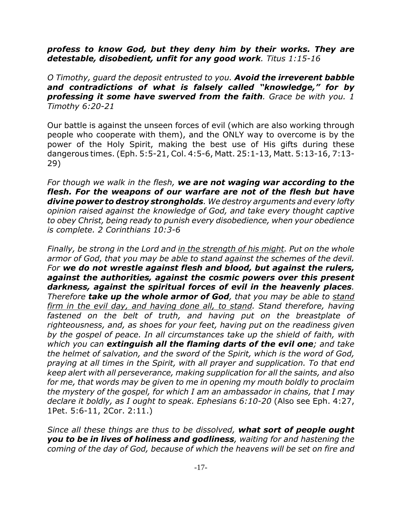## *profess to know God, but they deny him by their works. They are detestable, disobedient, unfit for any good work. Titus 1:15-16*

*O Timothy, guard the deposit entrusted to you. Avoid the irreverent babble and contradictions of what is falsely called "knowledge," for by professing it some have swerved from the faith. Grace be with you. 1 Timothy 6:20-21*

Our battle is against the unseen forces of evil (which are also working through people who cooperate with them), and the ONLY way to overcome is by the power of the Holy Spirit, making the best use of His gifts during these dangerous times. (Eph. 5:5-21, Col. 4:5-6, Matt. 25:1-13, Matt. 5:13-16, 7:13- 29)

*For though we walk in the flesh, we are not waging war according to the flesh. For the weapons of our warfare are not of the flesh but have divine power to destroy strongholds. We destroy arguments and every lofty opinion raised against the knowledge of God, and take every thought captive to obey Christ, being ready to punish every disobedience, when your obedience is complete. 2 Corinthians 10:3-6*

*Finally, be strong in the Lord and in the strength of his might. Put on the whole armor of God, that you may be able to stand against the schemes of the devil. For we do not wrestle against flesh and blood, but against the rulers, against the authorities, against the cosmic powers over this present darkness, against the spiritual forces of evil in the heavenly places. Therefore take up the whole armor of God, that you may be able to stand firm in the evil day, and having done all, to stand. Stand therefore, having fastened on the belt of truth, and having put on the breastplate of righteousness, and, as shoes for your feet, having put on the readiness given by the gospel of peace. In all circumstances take up the shield of faith, with which you can extinguish all the flaming darts of the evil one; and take the helmet of salvation, and the sword of the Spirit, which is the word of God, praying at all times in the Spirit, with all prayer and supplication. To that end keep alert with all perseverance, making supplication for all the saints, and also for me, that words may be given to me in opening my mouth boldly to proclaim the mystery of the gospel, for which I am an ambassador in chains, that I may declare it boldly, as I ought to speak. Ephesians 6:10-20* (Also see Eph. 4:27, 1Pet. 5:6-11, 2Cor. 2:11.)

*Since all these things are thus to be dissolved, what sort of people ought you to be in lives of holiness and godliness, waiting for and hastening the coming of the day of God, because of which the heavens will be set on fire and*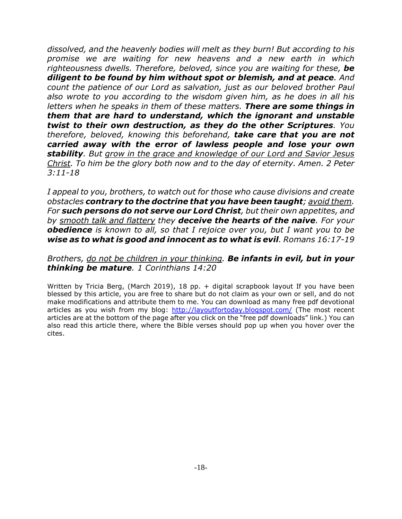*dissolved, and the heavenly bodies will melt as they burn! But according to his promise we are waiting for new heavens and a new earth in which righteousness dwells. Therefore, beloved, since you are waiting for these, be diligent to be found by him without spot or blemish, and at peace. And count the patience of our Lord as salvation, just as our beloved brother Paul also wrote to you according to the wisdom given him, as he does in all his letters when he speaks in them of these matters. There are some things in them that are hard to understand, which the ignorant and unstable twist to their own destruction, as they do the other Scriptures. You therefore, beloved, knowing this beforehand, take care that you are not carried away with the error of lawless people and lose your own stability. But grow in the grace and knowledge of our Lord and Savior Jesus Christ. To him be the glory both now and to the day of eternity. Amen. 2 Peter 3:11-18*

*I appeal to you, brothers, to watch out for those who cause divisions and create obstacles contrary to the doctrine that you have been taught; avoid them. For such persons do not serve our Lord Christ, but their own appetites, and by smooth talk and flattery they deceive the hearts of the naive. For your obedience is known to all, so that I rejoice over you, but I want you to be wise as to what is good and innocent as to what is evil. Romans 16:17-19*

## *Brothers, do not be children in your thinking. Be infants in evil, but in your thinking be mature. 1 Corinthians 14:20*

Written by Tricia Berg, (March 2019), 18 pp. + digital scrapbook layout If you have been blessed by this article, you are free to share but do not claim as your own or sell, and do not make modifications and attribute them to me. You can download as many free pdf devotional articles as you wish from my blog: http://layoutfortoday.blogspot.com/ (The most recent articles are at the bottom of the page after you click on the "free pdf downloads" link.) You can also read this article there, where the Bible verses should pop up when you hover over the cites.